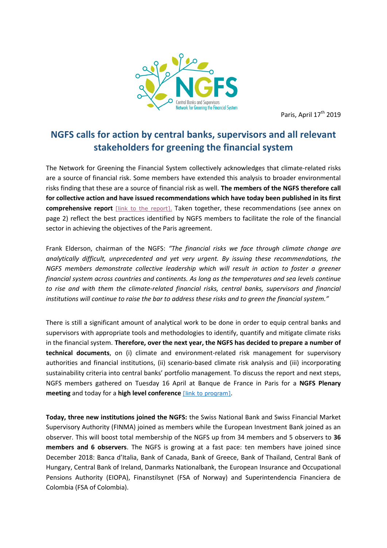

Paris, April 17<sup>th</sup> 2019

## **NGFS calls for action by central banks, supervisors and all relevant stakeholders for greening the financial system**

The Network for Greening the Financial System collectively acknowledges that climate-related risks are a source of financial risk. Some members have extended this analysis to broader environmental risks finding that these are a source of financial risk as well. **The members of the NGFS therefore call for collective action and have issued recommendations which have today been published in its first comprehensive report** [\[link to the report\]](https://www.banque-france.fr/sites/default/files/media/2019/04/17/ngfs_first_comprehensive_report_-_17042019_0.pdf). Taken together, these recommendations (see annex on page 2) reflect the best practices identified by NGFS members to facilitate the role of the financial sector in achieving the objectives of the Paris agreement.

Frank Elderson, chairman of the NGFS: *"The financial risks we face through climate change are analytically difficult, unprecedented and yet very urgent. By issuing these recommendations, the NGFS members demonstrate collective leadership which will result in action to foster a greener financial system across countries and continents. As long as the temperatures and sea levels continue to rise and with them the climate-related financial risks, central banks, supervisors and financial institutions will continue to raise the bar to address these risks and to green the financial system."*

There is still a significant amount of analytical work to be done in order to equip central banks and supervisors with appropriate tools and methodologies to identify, quantify and mitigate climate risks in the financial system. **Therefore, over the next year, the NGFS has decided to prepare a number of technical documents**, on (i) climate and environment-related risk management for supervisory authorities and financial institutions, (ii) scenario-based climate risk analysis and (iii) incorporating sustainability criteria into central banks' portfolio management. To discuss the report and next steps, NGFS members gathered on Tuesday 16 April at Banque de France in Paris for a **NGFS Plenary meeting** and today for a **high level conference** [\[link to program\]](https://www.banque-france.fr/en/ngfs-conference-network-greening-financial-system).

**Today, three new institutions joined the NGFS:** the Swiss National Bank and Swiss Financial Market Supervisory Authority (FINMA) joined as members while the European Investment Bank joined as an observer. This will boost total membership of the NGFS up from 34 members and 5 observers to **36 members and 6 observers**. The NGFS is growing at a fast pace: ten members have joined since December 2018: Banca d'Italia, Bank of Canada, Bank of Greece, Bank of Thailand, Central Bank of Hungary, Central Bank of Ireland, Danmarks Nationalbank, the European Insurance and Occupational Pensions Authority (EIOPA), Finanstilsynet (FSA of Norway) and Superintendencia Financiera de Colombia (FSA of Colombia).